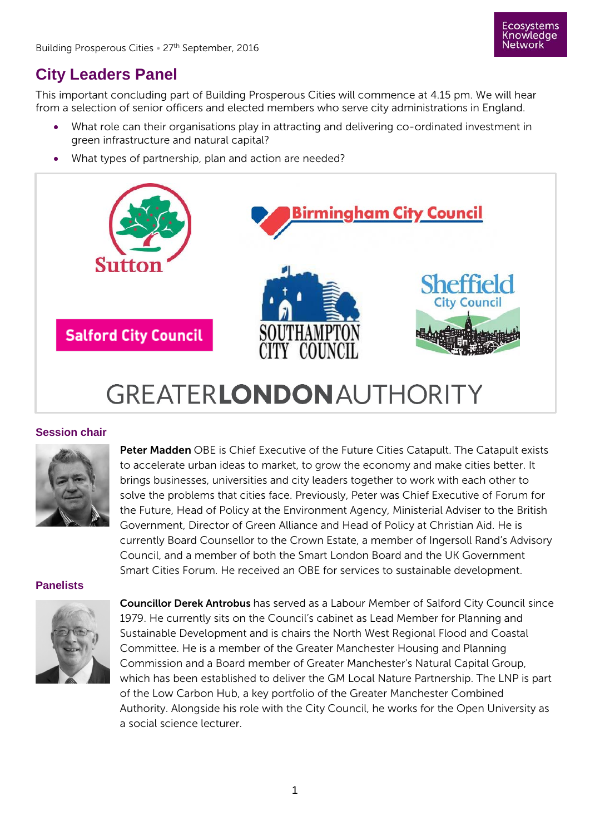

## **City Leaders Panel**

This important concluding part of Building Prosperous Cities will commence at 4.15 pm. We will hear from a selection of senior officers and elected members who serve city administrations in England.

- What role can their organisations play in attracting and delivering co-ordinated investment in green infrastructure and natural capital?
- What types of partnership, plan and action are needed?



## **GREATERLONDON AUTHORITY**

## **Session chair**



Peter Madden OBE is Chief Executive of the Future Cities Catapult. The Catapult exists to accelerate urban ideas to market, to grow the economy and make cities better. It brings businesses, universities and city leaders together to work with each other to solve the problems that cities face. Previously, Peter was Chief Executive of Forum for the Future, Head of Policy at the Environment Agency, Ministerial Adviser to the British Government, Director of Green Alliance and Head of Policy at Christian Aid. He is currently Board Counsellor to the Crown Estate, a member of Ingersoll Rand's Advisory Council, and a member of both the Smart London Board and the UK Government Smart Cities Forum. He received an OBE for services to sustainable development.

## **Panelists**



Councillor Derek Antrobus has served as a Labour Member of Salford City Council since 1979. He currently sits on the Council's cabinet as Lead Member for Planning and Sustainable Development and is chairs the North West Regional Flood and Coastal Committee. He is a member of the Greater Manchester Housing and Planning Commission and a Board member of Greater Manchester's Natural Capital Group, which has been established to deliver the GM Local Nature Partnership. The LNP is part of the Low Carbon Hub, a key portfolio of the Greater Manchester Combined Authority. Alongside his role with the City Council, he works for the Open University as a social science lecturer.